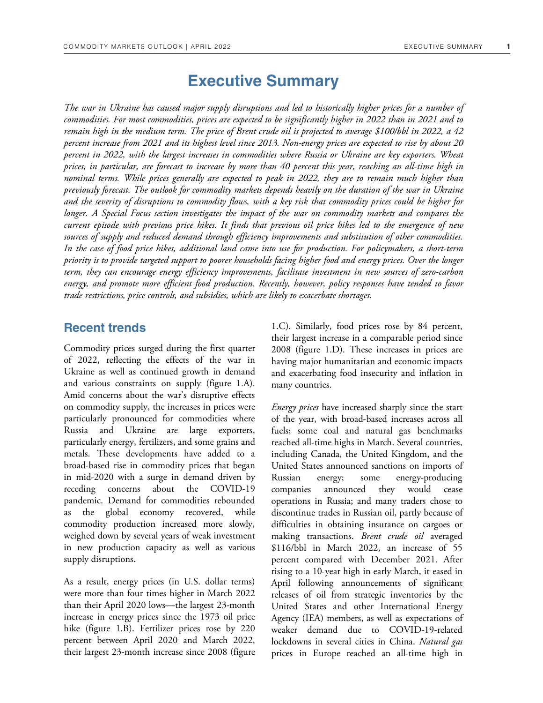# **Executive Summary**

*The war in Ukraine has caused major supply disruptions and led to historically higher prices for a number of commodities. For most commodities, prices are expected to be significantly higher in 2022 than in 2021 and to remain high in the medium term. The price of Brent crude oil is projected to average \$100/bbl in 2022, a 42 percent increase from 2021 and its highest level since 2013. Non-energy prices are expected to rise by about 20 percent in 2022, with the largest increases in commodities where Russia or Ukraine are key exporters. Wheat prices, in particular, are forecast to increase by more than 40 percent this year, reaching an all-time high in nominal terms. While prices generally are expected to peak in 2022, they are to remain much higher than previously forecast. The outlook for commodity markets depends heavily on the duration of the war in Ukraine and the severity of disruptions to commodity flows, with a key risk that commodity prices could be higher for longer. A Special Focus section investigates the impact of the war on commodity markets and compares the current episode with previous price hikes. It finds that previous oil price hikes led to the emergence of new sources of supply and reduced demand through efficiency improvements and substitution of other commodities. In the case of food price hikes, additional land came into use for production. For policymakers, a short-term priority is to provide targeted support to poorer households facing higher food and energy prices. Over the longer term, they can encourage energy efficiency improvements, facilitate investment in new sources of zero-carbon energy, and promote more efficient food production. Recently, however, policy responses have tended to favor trade restrictions, price controls, and subsidies, which are likely to exacerbate shortages.* 

#### **Recent trends**

Commodity prices surged during the first quarter of 2022, reflecting the effects of the war in Ukraine as well as continued growth in demand and various constraints on supply (figure 1.A). Amid concerns about the war's disruptive effects on commodity supply, the increases in prices were particularly pronounced for commodities where Russia and Ukraine are large exporters, particularly energy, fertilizers, and some grains and metals. These developments have added to a broad-based rise in commodity prices that began in mid-2020 with a surge in demand driven by receding concerns about the COVID-19 pandemic. Demand for commodities rebounded as the global economy recovered, while commodity production increased more slowly, weighed down by several years of weak investment in new production capacity as well as various supply disruptions.

As a result, energy prices (in U.S. dollar terms) were more than four times higher in March 2022 than their April 2020 lows—the largest 23-month increase in energy prices since the 1973 oil price hike (figure 1.B). Fertilizer prices rose by 220 percent between April 2020 and March 2022, their largest 23-month increase since 2008 (figure 1.C). Similarly, food prices rose by 84 percent, their largest increase in a comparable period since 2008 (figure 1.D). These increases in prices are having major humanitarian and economic impacts and exacerbating food insecurity and inflation in many countries.

*Energy prices* have increased sharply since the start of the year, with broad-based increases across all fuels; some coal and natural gas benchmarks reached all-time highs in March. Several countries, including Canada, the United Kingdom, and the United States announced sanctions on imports of Russian energy; some energy-producing companies announced they would cease operations in Russia; and many traders chose to discontinue trades in Russian oil, partly because of difficulties in obtaining insurance on cargoes or making transactions. *Brent crude oil* averaged \$116/bbl in March 2022, an increase of 55 percent compared with December 2021. After rising to a 10-year high in early March, it eased in April following announcements of significant releases of oil from strategic inventories by the United States and other International Energy Agency (IEA) members, as well as expectations of weaker demand due to COVID-19-related lockdowns in several cities in China. *Natural gas*  prices in Europe reached an all-time high in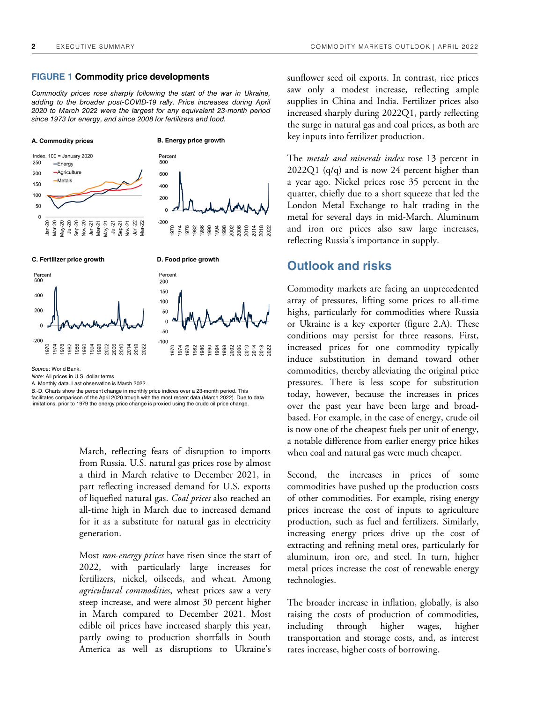#### **FIGURE 1 Commodity price developments**

Commodity prices rose sharply following the start of the war in Ukraine, adding to the broader post-COVID-19 rally. Price increases during April 2020 to March 2022 were the largest for any equivalent 23-month period since 1973 for energy, and since 2008 for fertilizers and food.



Note: All prices in U.S. dollar terms.

A. Monthly data. Last observation is March 2022.

B.-D. Charts show the percent change in monthly price indices over a 23-month period. This facilitates comparison of the April 2020 trough with the most recent data (March 2022). Due to data limitations, prior to 1979 the energy price change is proxied using the crude oil price change.

> March, reflecting fears of disruption to imports from Russia. U.S. natural gas prices rose by almost a third in March relative to December 2021, in part reflecting increased demand for U.S. exports of liquefied natural gas. *Coal prices* also reached an all-time high in March due to increased demand for it as a substitute for natural gas in electricity generation.

> Most *non-energy prices* have risen since the start of 2022, with particularly large increases for fertilizers, nickel, oilseeds, and wheat. Among *agricultural commodities*, wheat prices saw a very steep increase, and were almost 30 percent higher in March compared to December 2021. Most edible oil prices have increased sharply this year, partly owing to production shortfalls in South America as well as disruptions to Ukraine's

sunflower seed oil exports. In contrast, rice prices saw only a modest increase, reflecting ample supplies in China and India. Fertilizer prices also increased sharply during 2022Q1, partly reflecting the surge in natural gas and coal prices, as both are key inputs into fertilizer production.

The *metals and minerals index* rose 13 percent in 2022Q1 (q/q) and is now 24 percent higher than a year ago. Nickel prices rose 35 percent in the quarter, chiefly due to a short squeeze that led the London Metal Exchange to halt trading in the metal for several days in mid-March. Aluminum and iron ore prices also saw large increases, reflecting Russia's importance in supply.

### **Outlook and risks**

Commodity markets are facing an unprecedented array of pressures, lifting some prices to all-time highs, particularly for commodities where Russia or Ukraine is a key exporter (figure 2.A). These conditions may persist for three reasons. First, increased prices for one commodity typically induce substitution in demand toward other commodities, thereby alleviating the original price pressures. There is less scope for substitution today, however, because the increases in prices over the past year have been large and broadbased. For example, in the case of energy, crude oil is now one of the cheapest fuels per unit of energy, a notable difference from earlier energy price hikes when coal and natural gas were much cheaper.

Second, the increases in prices of some commodities have pushed up the production costs of other commodities. For example, rising energy prices increase the cost of inputs to agriculture production, such as fuel and fertilizers. Similarly, increasing energy prices drive up the cost of extracting and refining metal ores, particularly for aluminum, iron ore, and steel. In turn, higher metal prices increase the cost of renewable energy technologies.

The broader increase in inflation, globally, is also raising the costs of production of commodities, including through higher wages, higher transportation and storage costs, and, as interest rates increase, higher costs of borrowing.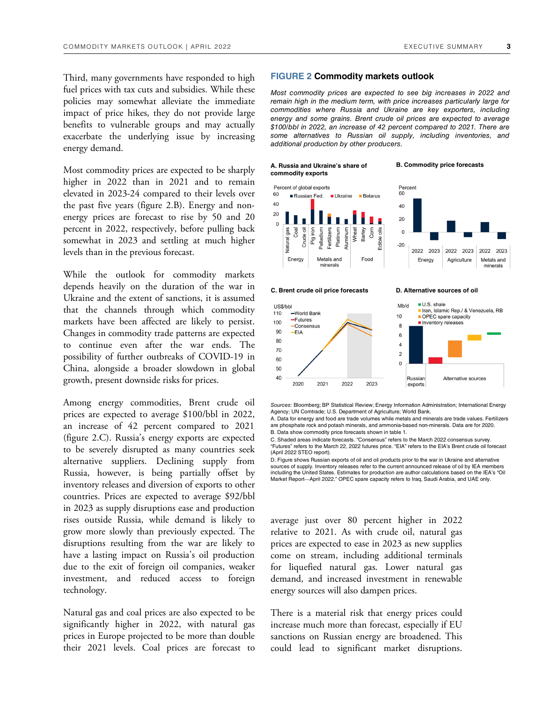Third, many governments have responded to high fuel prices with tax cuts and subsidies. While these policies may somewhat alleviate the immediate impact of price hikes, they do not provide large benefits to vulnerable groups and may actually exacerbate the underlying issue by increasing energy demand.

Most commodity prices are expected to be sharply higher in 2022 than in 2021 and to remain elevated in 2023-24 compared to their levels over the past five years (figure 2.B). Energy and nonenergy prices are forecast to rise by 50 and 20 percent in 2022, respectively, before pulling back somewhat in 2023 and settling at much higher levels than in the previous forecast.

While the outlook for commodity markets depends heavily on the duration of the war in Ukraine and the extent of sanctions, it is assumed that the channels through which commodity markets have been affected are likely to persist. Changes in commodity trade patterns are expected to continue even after the war ends. The possibility of further outbreaks of COVID-19 in China, alongside a broader slowdown in global growth, present downside risks for prices.

Among energy commodities, Brent crude oil prices are expected to average \$100/bbl in 2022, an increase of 42 percent compared to 2021 (figure 2.C). Russia's energy exports are expected to be severely disrupted as many countries seek alternative suppliers. Declining supply from Russia, however, is being partially offset by inventory releases and diversion of exports to other countries. Prices are expected to average \$92/bbl in 2023 as supply disruptions ease and production rises outside Russia, while demand is likely to grow more slowly than previously expected. The disruptions resulting from the war are likely to have a lasting impact on Russia's oil production due to the exit of foreign oil companies, weaker investment, and reduced access to foreign technology.

Natural gas and coal prices are also expected to be significantly higher in 2022, with natural gas prices in Europe projected to be more than double their 2021 levels. Coal prices are forecast to

#### **FIGURE 2 Commodity markets outlook**

Most commodity prices are expected to see big increases in 2022 and remain high in the medium term, with price increases particularly large for commodities where Russia and Ukraine are key exporters, including energy and some grains. Brent crude oil prices are expected to average \$100/bbl in 2022, an increase of 42 percent compared to 2021. There are some alternatives to Russian oil supply, including inventories, and additional production by other producers.

**[A. Russia and Ukraine's share of B. Commodity price forecasts](https://thedocs.worldbank.org/en/doc/24e8d315b8229b791ea61e0fa09b28d0-0350012022/related/CMO-April-2022-executive-summary.xlsx)  commodity exports** 





**C. Brent crude oil price forecasts D. Alternative sources of oil** 



Sources: Bloomberg; BP Statistical Review; Energy Information Administration; International Energy Agency; UN Comtrade; U.S. Department of Agriculture; World Bank.

A. Data for energy and food are trade volumes while metals and minerals are trade values. Fertilizers are phosphate rock and potash minerals, and ammonia-based non-minerals. Data are for 2020. B. Data show commodity price forecasts shown in table 1.

C. Shaded areas indicate forecasts. "Consensus" refers to the March 2022 consensus surve "Futures" refers to the March 22, 2022 futures price. "EIA" refers to the EIA's Brent crude oil forecast (April 2022 STEO report).

D. Figure shows Russian exports of oil and oil products prior to the war in Ukraine and alternative sources of supply. Inventory releases refer to the current announced release of oil by IEA members including the United States. Estimates for production are author calculations based on the IEA's "Oil Market Report—April 2022." OPEC spare capacity refers to Iraq, Saudi Arabia, and UAE only.

average just over 80 percent higher in 2022 relative to 2021. As with crude oil, natural gas prices are expected to ease in 2023 as new supplies come on stream, including additional terminals for liquefied natural gas. Lower natural gas demand, and increased investment in renewable energy sources will also dampen prices.

There is a material risk that energy prices could increase much more than forecast, especially if EU sanctions on Russian energy are broadened. This could lead to significant market disruptions.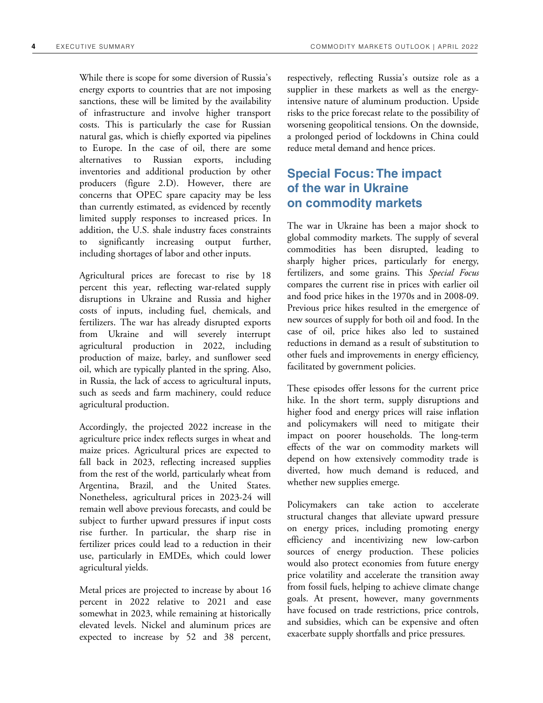While there is scope for some diversion of Russia's energy exports to countries that are not imposing sanctions, these will be limited by the availability of infrastructure and involve higher transport costs. This is particularly the case for Russian natural gas, which is chiefly exported via pipelines to Europe. In the case of oil, there are some alternatives to Russian exports, including inventories and additional production by other producers (figure 2.D). However, there are concerns that OPEC spare capacity may be less than currently estimated, as evidenced by recently limited supply responses to increased prices. In addition, the U.S. shale industry faces constraints to significantly increasing output further, including shortages of labor and other inputs.

Agricultural prices are forecast to rise by 18 percent this year, reflecting war-related supply disruptions in Ukraine and Russia and higher costs of inputs, including fuel, chemicals, and fertilizers. The war has already disrupted exports from Ukraine and will severely interrupt agricultural production in 2022, including production of maize, barley, and sunflower seed oil, which are typically planted in the spring. Also, in Russia, the lack of access to agricultural inputs, such as seeds and farm machinery, could reduce agricultural production.

Accordingly, the projected 2022 increase in the agriculture price index reflects surges in wheat and maize prices. Agricultural prices are expected to fall back in 2023, reflecting increased supplies from the rest of the world, particularly wheat from Argentina, Brazil, and the United States. Nonetheless, agricultural prices in 2023-24 will remain well above previous forecasts, and could be subject to further upward pressures if input costs rise further. In particular, the sharp rise in fertilizer prices could lead to a reduction in their use, particularly in EMDEs, which could lower agricultural yields.

Metal prices are projected to increase by about 16 percent in 2022 relative to 2021 and ease somewhat in 2023, while remaining at historically elevated levels. Nickel and aluminum prices are expected to increase by 52 and 38 percent,

respectively, reflecting Russia's outsize role as a supplier in these markets as well as the energyintensive nature of aluminum production. Upside risks to the price forecast relate to the possibility of worsening geopolitical tensions. On the downside, a prolonged period of lockdowns in China could reduce metal demand and hence prices.

## **Special Focus: The impact of the war in Ukraine on commodity markets**

The war in Ukraine has been a major shock to global commodity markets. The supply of several commodities has been disrupted, leading to sharply higher prices, particularly for energy, fertilizers, and some grains. This *Special Focus* compares the current rise in prices with earlier oil and food price hikes in the 1970s and in 2008-09. Previous price hikes resulted in the emergence of new sources of supply for both oil and food. In the case of oil, price hikes also led to sustained reductions in demand as a result of substitution to other fuels and improvements in energy efficiency, facilitated by government policies.

These episodes offer lessons for the current price hike. In the short term, supply disruptions and higher food and energy prices will raise inflation and policymakers will need to mitigate their impact on poorer households. The long-term effects of the war on commodity markets will depend on how extensively commodity trade is diverted, how much demand is reduced, and whether new supplies emerge.

Policymakers can take action to accelerate structural changes that alleviate upward pressure on energy prices, including promoting energy efficiency and incentivizing new low-carbon sources of energy production. These policies would also protect economies from future energy price volatility and accelerate the transition away from fossil fuels, helping to achieve climate change goals. At present, however, many governments have focused on trade restrictions, price controls, and subsidies, which can be expensive and often exacerbate supply shortfalls and price pressures.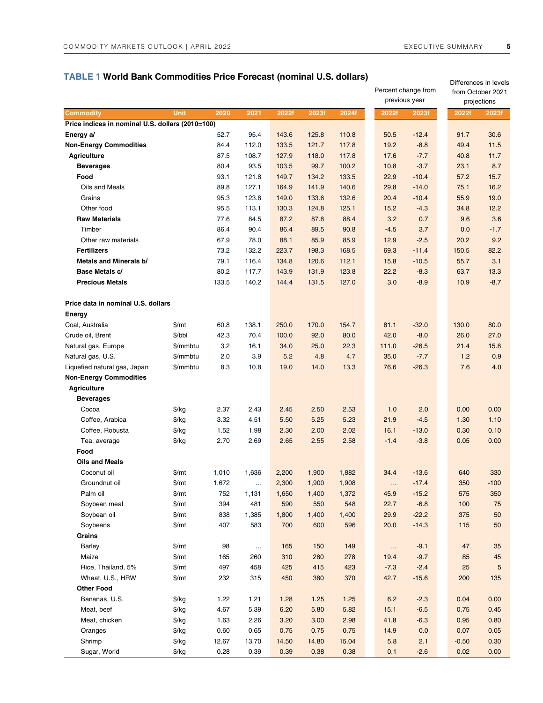### **TABLE 1 World Bank Commodities Price Forecast (nominal U.S. dollars)**

| <b>TWORD Dark Commodities Frice Forecast (Hommal O.S. Gonals)</b> |               |       |                   |            |            |            |        | Percent change from<br>previous year | Differences in levels<br>from October 2021<br>projections |            |  |
|-------------------------------------------------------------------|---------------|-------|-------------------|------------|------------|------------|--------|--------------------------------------|-----------------------------------------------------------|------------|--|
| <b>Commodity</b>                                                  | <b>Unit</b>   | 2020  | 2021              | 2022f      | 2023f      | 2024f      | 2022f  | 2023f                                | 2022f                                                     | 2023f      |  |
| Price indices in nominal U.S. dollars (2010=100)                  |               |       |                   |            |            |            |        |                                      |                                                           |            |  |
| Energy a/                                                         |               | 52.7  | 95.4              | 143.6      | 125.8      | 110.8      | 50.5   | $-12.4$                              | 91.7                                                      | 30.6       |  |
| <b>Non-Energy Commodities</b>                                     |               | 84.4  | 112.0             | 133.5      | 121.7      | 117.8      | 19.2   | $-8.8$                               | 49.4                                                      | 11.5       |  |
| <b>Agriculture</b>                                                |               | 87.5  | 108.7             | 127.9      | 118.0      | 117.8      | 17.6   | $-7.7$                               | 40.8                                                      | 11.7       |  |
| <b>Beverages</b>                                                  |               | 80.4  | 93.5              | 103.5      | 99.7       | 100.2      | 10.8   | $-3.7$                               | 23.1                                                      | 8.7        |  |
| Food                                                              |               | 93.1  | 121.8             | 149.7      | 134.2      | 133.5      | 22.9   | $-10.4$                              | 57.2                                                      | 15.7       |  |
| Oils and Meals                                                    |               | 89.8  | 127.1             | 164.9      | 141.9      | 140.6      | 29.8   | $-14.0$                              | 75.1                                                      | 16.2       |  |
| Grains                                                            |               | 95.3  | 123.8             | 149.0      | 133.6      | 132.6      | 20.4   | $-10.4$                              | 55.9                                                      | 19.0       |  |
| Other food                                                        |               | 95.5  | 113.1             | 130.3      | 124.8      | 125.1      | 15.2   | $-4.3$                               | 34.8                                                      | 12.2       |  |
| <b>Raw Materials</b>                                              |               | 77.6  | 84.5              | 87.2       | 87.8       | 88.4       | 3.2    | 0.7                                  | 9.6                                                       | 3.6        |  |
| Timber                                                            |               | 86.4  | 90.4              | 86.4       | 89.5       | 90.8       | $-4.5$ | 3.7                                  | 0.0                                                       | $-1.7$     |  |
| Other raw materials                                               |               | 67.9  | 78.0              | 88.1       | 85.9       | 85.9       | 12.9   | $-2.5$                               | 20.2                                                      | 9.2        |  |
| <b>Fertilizers</b>                                                |               | 73.2  | 132.2             | 223.7      | 198.3      | 168.5      | 69.3   | $-11.4$                              | 150.5                                                     | 82.2       |  |
| Metals and Minerals b/                                            |               | 79.1  | 116.4             | 134.8      | 120.6      | 112.1      | 15.8   | $-10.5$                              | 55.7                                                      | 3.1        |  |
| Base Metals c/                                                    |               | 80.2  | 117.7             | 143.9      | 131.9      | 123.8      | 22.2   | $-8.3$                               | 63.7                                                      | 13.3       |  |
| <b>Precious Metals</b>                                            |               | 133.5 | 140.2             | 144.4      | 131.5      | 127.0      | 3.0    | $-8.9$                               | 10.9                                                      | $-8.7$     |  |
|                                                                   |               |       |                   |            |            |            |        |                                      |                                                           |            |  |
| Price data in nominal U.S. dollars                                |               |       |                   |            |            |            |        |                                      |                                                           |            |  |
| Energy                                                            |               |       |                   |            |            |            |        |                                      |                                                           |            |  |
| Coal, Australia                                                   | \$/mt         | 60.8  | 138.1             | 250.0      | 170.0      | 154.7      | 81.1   | $-32.0$                              | 130.0                                                     | 80.0       |  |
| Crude oil, Brent                                                  | \$/bbl        | 42.3  | 70.4              | 100.0      | 92.0       | 80.0       | 42.0   | $-8.0$                               | 26.0                                                      | 27.0       |  |
| Natural gas, Europe                                               | \$/mmbtu      | 3.2   | 16.1              | 34.0       | 25.0       | 22.3       | 111.0  | $-26.5$                              | 21.4                                                      | 15.8       |  |
| Natural gas, U.S.                                                 | \$/mmbtu      | 2.0   | 3.9               | 5.2        | 4.8        | 4.7        | 35.0   | $-7.7$                               | 1.2                                                       | 0.9        |  |
| Liquefied natural gas, Japan                                      | \$/mmbtu      | 8.3   | 10.8              | 19.0       | 14.0       | 13.3       | 76.6   | $-26.3$                              | 7.6                                                       | 4.0        |  |
| <b>Non-Energy Commodities</b>                                     |               |       |                   |            |            |            |        |                                      |                                                           |            |  |
| <b>Agriculture</b>                                                |               |       |                   |            |            |            |        |                                      |                                                           |            |  |
| <b>Beverages</b>                                                  |               |       |                   |            |            |            |        |                                      |                                                           |            |  |
| Cocoa                                                             | \$/kg         | 2.37  | 2.43              | 2.45       | 2.50       | 2.53       | 1.0    | 2.0                                  | 0.00                                                      | 0.00       |  |
| Coffee, Arabica                                                   | $\frac{f}{g}$ | 3.32  | 4.51              | 5.50       | 5.25       | 5.23       | 21.9   | $-4.5$                               | 1.30                                                      | 1.10       |  |
| Coffee, Robusta                                                   | $\frac{f}{g}$ | 1.52  | 1.98              | 2.30       | 2.00       | 2.02       | 16.1   | $-13.0$                              | 0.30                                                      | 0.10       |  |
| Tea, average                                                      | $\frac{f}{g}$ | 2.70  | 2.69              | 2.65       | 2.55       | 2.58       | $-1.4$ | $-3.8$                               | 0.05                                                      | 0.00       |  |
| Food                                                              |               |       |                   |            |            |            |        |                                      |                                                           |            |  |
| <b>Oils and Meals</b>                                             |               |       |                   |            |            |            |        |                                      |                                                           |            |  |
| Coconut oil                                                       | \$/mt         | 1,010 | 1,636             | 2,200      | 1,900      | 1,882      | 34.4   | $-13.6$                              | 640                                                       | 330        |  |
| Groundnut oil                                                     | $\frac{m}{2}$ | 1,672 |                   | 2,300      | 1,900      | 1,908      |        | $-17.4$                              | 350                                                       | $-100$     |  |
| Palm oil                                                          | \$/mt         | 752   | $\cdots$<br>1,131 | 1,650      | 1,400      | 1,372      | 45.9   | $\ldots$<br>$-15.2$                  | 575                                                       | 350        |  |
| Soybean meal                                                      | \$/mt         | 394   | 481               | 590        | 550        | 548        | 22.7   | $-6.8$                               | 100                                                       | 75         |  |
| Soybean oil                                                       | $\frac{m}{2}$ | 838   | 1,385             | 1,800      | 1,400      | 1,400      | 29.9   | $-22.2$                              | 375                                                       | 50         |  |
| Soybeans                                                          | \$/mt         | 407   | 583               | 700        | 600        | 596        | 20.0   | $-14.3$                              | 115                                                       | 50         |  |
| Grains                                                            |               |       |                   |            |            |            |        |                                      |                                                           |            |  |
| Barley                                                            | \$/mt         | 98    |                   | 165        | 150        | 149        |        | $-9.1$                               | 47                                                        | 35         |  |
| Maize                                                             | \$/mt         |       | $\ldots$          |            | 280        |            | 19.4   | $\sim$                               |                                                           |            |  |
|                                                                   |               | 165   | 260               | 310<br>425 |            | 278<br>423 |        | $-9.7$                               | 85<br>25                                                  | 45         |  |
| Rice, Thailand, 5%<br>Wheat, U.S., HRW                            | $\frac{m}{2}$ | 497   | 458               |            | 415<br>380 |            | $-7.3$ | $-2.4$                               |                                                           | $\sqrt{5}$ |  |
|                                                                   | \$/mt         | 232   | 315               | 450        |            | 370        | 42.7   | $-15.6$                              | 200                                                       | 135        |  |
| <b>Other Food</b>                                                 |               |       |                   |            |            |            |        |                                      |                                                           |            |  |
| Bananas, U.S.                                                     | $\frac{f}{g}$ | 1.22  | 1.21              | 1.28       | 1.25       | 1.25       | 6.2    | $-2.3$                               | 0.04                                                      | 0.00       |  |
| Meat, beef                                                        | $\frac{f}{g}$ | 4.67  | 5.39              | 6.20       | 5.80       | 5.82       | 15.1   | $-6.5$                               | 0.75                                                      | 0.45       |  |
| Meat, chicken                                                     | $\frac{f}{g}$ | 1.63  | 2.26              | 3.20       | 3.00       | 2.98       | 41.8   | $-6.3$                               | 0.95                                                      | 0.80       |  |
| Oranges                                                           | \$/kg         | 0.60  | 0.65              | 0.75       | 0.75       | 0.75       | 14.9   | 0.0                                  | 0.07                                                      | 0.05       |  |
| Shrimp                                                            | \$/kg         | 12.67 | 13.70             | 14.50      | 14.80      | 15.04      | 5.8    | 2.1                                  | $-0.50$                                                   | 0.30       |  |
| Sugar, World                                                      | $\frac{f}{g}$ | 0.28  | 0.39              | 0.39       | 0.38       | 0.38       | 0.1    | $-2.6$                               | 0.02                                                      | 0.00       |  |